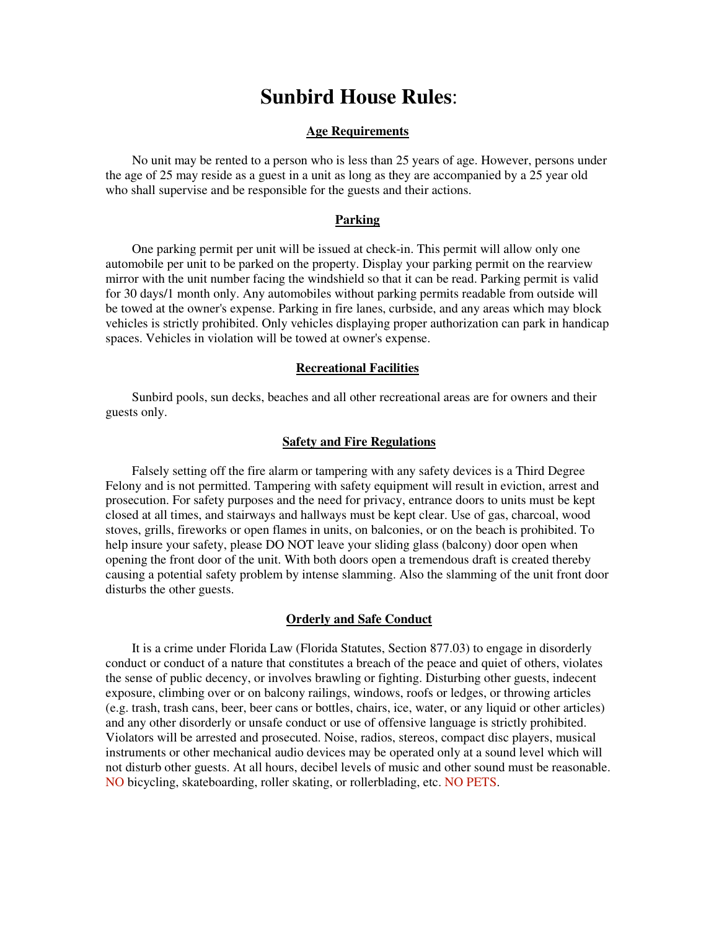# **Sunbird House Rules**:

#### **Age Requirements**

No unit may be rented to a person who is less than 25 years of age. However, persons under the age of 25 may reside as a guest in a unit as long as they are accompanied by a 25 year old who shall supervise and be responsible for the guests and their actions.

## **Parking**

One parking permit per unit will be issued at check-in. This permit will allow only one automobile per unit to be parked on the property. Display your parking permit on the rearview mirror with the unit number facing the windshield so that it can be read. Parking permit is valid for 30 days/1 month only. Any automobiles without parking permits readable from outside will be towed at the owner's expense. Parking in fire lanes, curbside, and any areas which may block vehicles is strictly prohibited. Only vehicles displaying proper authorization can park in handicap spaces. Vehicles in violation will be towed at owner's expense.

### **Recreational Facilities**

Sunbird pools, sun decks, beaches and all other recreational areas are for owners and their guests only.

#### **Safety and Fire Regulations**

Falsely setting off the fire alarm or tampering with any safety devices is a Third Degree Felony and is not permitted. Tampering with safety equipment will result in eviction, arrest and prosecution. For safety purposes and the need for privacy, entrance doors to units must be kept closed at all times, and stairways and hallways must be kept clear. Use of gas, charcoal, wood stoves, grills, fireworks or open flames in units, on balconies, or on the beach is prohibited. To help insure your safety, please DO NOT leave your sliding glass (balcony) door open when opening the front door of the unit. With both doors open a tremendous draft is created thereby causing a potential safety problem by intense slamming. Also the slamming of the unit front door disturbs the other guests.

### **Orderly and Safe Conduct**

It is a crime under Florida Law (Florida Statutes, Section 877.03) to engage in disorderly conduct or conduct of a nature that constitutes a breach of the peace and quiet of others, violates the sense of public decency, or involves brawling or fighting. Disturbing other guests, indecent exposure, climbing over or on balcony railings, windows, roofs or ledges, or throwing articles (e.g. trash, trash cans, beer, beer cans or bottles, chairs, ice, water, or any liquid or other articles) and any other disorderly or unsafe conduct or use of offensive language is strictly prohibited. Violators will be arrested and prosecuted. Noise, radios, stereos, compact disc players, musical instruments or other mechanical audio devices may be operated only at a sound level which will not disturb other guests. At all hours, decibel levels of music and other sound must be reasonable. NO bicycling, skateboarding, roller skating, or rollerblading, etc. NO PETS.